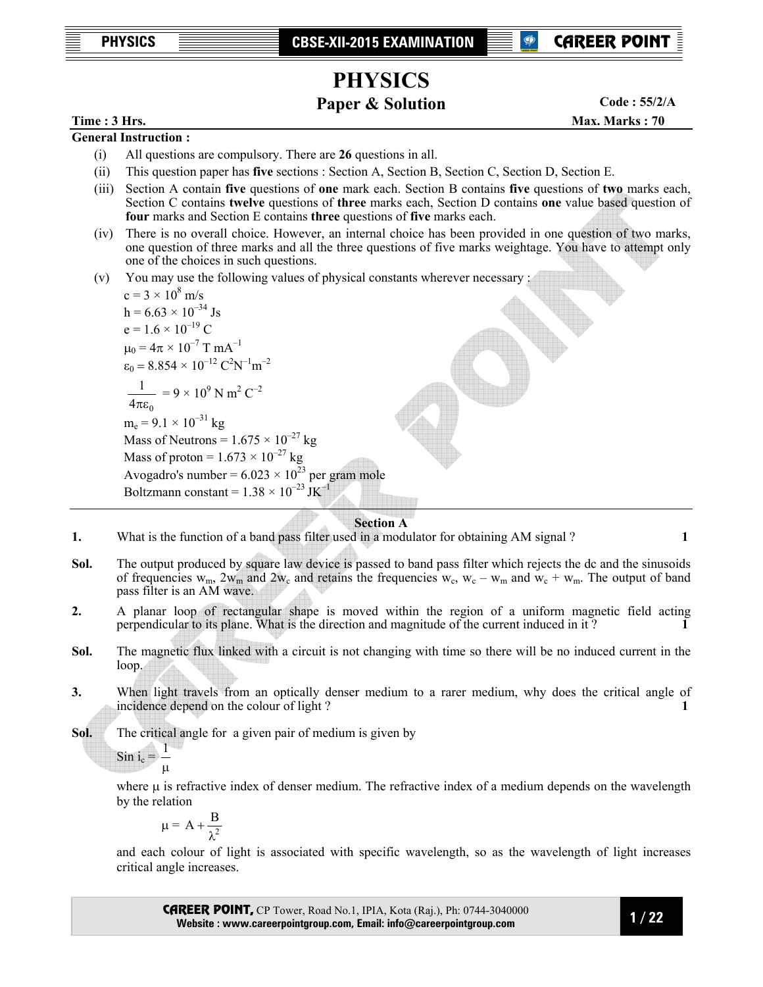**PHYSICS CBSE-XII-2015 EXAMINATION** 



# **PHYSICS**

## **Paper & Solution**

**Code : 55/2/A**

### **Time : 3 Hrs.** Max. Marks : 70 **Max. Marks : 70**

**General Instruction :** 

- (i) All questions are compulsory. There are **26** questions in all.
- (ii) This question paper has **five** sections : Section A, Section B, Section C, Section D, Section E.
- (iii) Section A contain **five** questions of **one** mark each. Section B contains **five** questions of **two** marks each, Section C contains **twelve** questions of **three** marks each, Section D contains **one** value based question of **four** marks and Section E contains **three** questions of **five** marks each.
- (iv) There is no overall choice. However, an internal choice has been provided in one question of two marks, one question of three marks and all the three questions of five marks weightage. You have to attempt only one of the choices in such questions.
- (v) You may use the following values of physical constants wherever necessary :

 $c = 3 \times 10^8 \text{ m/s}$  $h = 6.63 \times 10^{-34}$  Js  $e = 1.6 \times 10^{-19}$  C  $\mu_0 = 4\pi \times 10^{-7}$  T mA<sup>-1</sup>  $\varepsilon_0 = 8.854 \times 10^{-12} \text{ C}^2 \text{N}^{-1} \text{m}^{-2}$  $4\pi\epsilon_0$ 1 πε  $= 9 \times 10^9$  N m<sup>2</sup> C<sup>-2</sup>  $m_e = 9.1 \times 10^{-31}$  kg Mass of Neutrons =  $1.675 \times 10^{-27}$  kg Mass of proton =  $1.673 \times 10^{-27}$  kg Avogadro's number =  $6.023 \times 10^{23}$  per gram mole Boltzmann constant =  $1.38 \times 10^{-23}$  JK<sup>-1</sup>

### **Section A**

- **1.** What is the function of a band pass filter used in a modulator for obtaining AM signal ? **1**
- **Sol.** The output produced by square law device is passed to band pass filter which rejects the dc and the sinusoids of frequencies  $w_m$ ,  $2w_m$  and  $2w_c$  and retains the frequencies  $w_c$ ,  $w_c - w_m$  and  $w_c + w_m$ . The output of band pass filter is an AM wave.
- **2.** A planar loop of rectangular shape is moved within the region of a uniform magnetic field acting perpendicular to its plane. What is the direction and magnitude of the current induced in it ? **1**
- **Sol.** The magnetic flux linked with a circuit is not changing with time so there will be no induced current in the loop.
- **3.** When light travels from an optically denser medium to a rarer medium, why does the critical angle of incidence depend on the colour of light ? **1 1**
- **Sol.** The critical angle for a given pair of medium is given by

$$
\sin i_c = \frac{1}{\mu}
$$

where  $\mu$  is refractive index of denser medium. The refractive index of a medium depends on the wavelength by the relation

$$
\mu = A + \frac{B}{\lambda^2}
$$

 and each colour of light is associated with specific wavelength, so as the wavelength of light increases critical angle increases.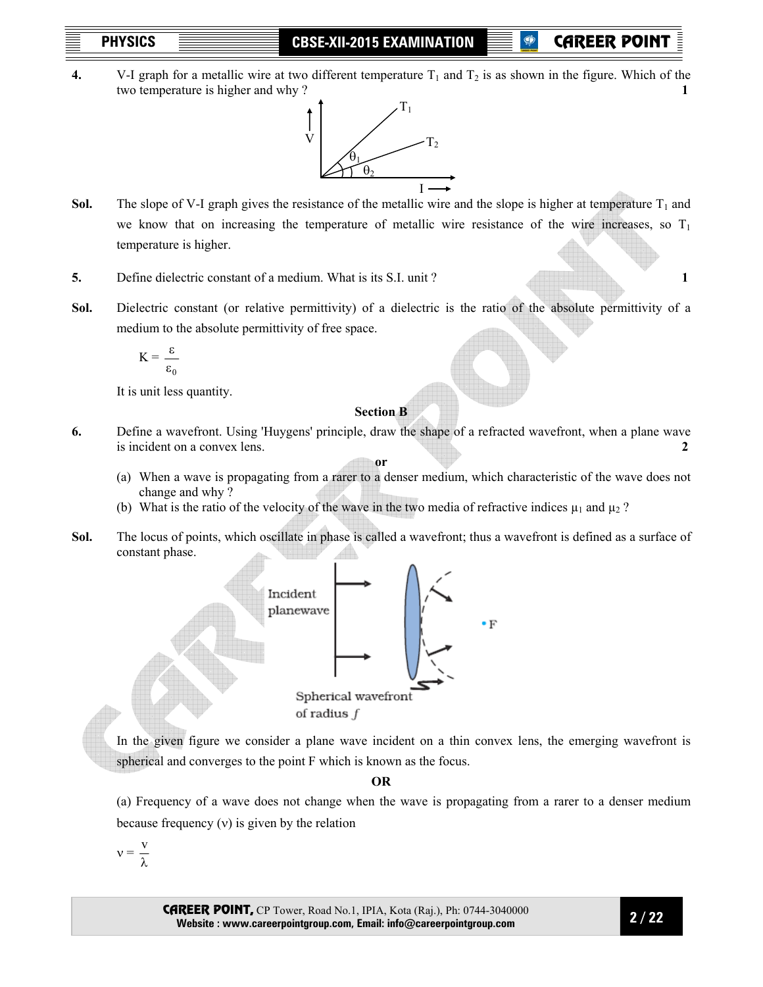**P** CAREER POII

**4.** V-I graph for a metallic wire at two different temperature  $T_1$  and  $T_2$  is as shown in the figure. Which of the two temperature is higher and why ? **1** 



- **Sol.** The slope of V-I graph gives the resistance of the metallic wire and the slope is higher at temperature  $T_1$  and we know that on increasing the temperature of metallic wire resistance of the wire increases, so  $T_1$ temperature is higher.
- **5.** Define dielectric constant of a medium. What is its S.I. unit ? **1**
- **Sol.** Dielectric constant (or relative permittivity) of a dielectric is the ratio of the absolute permittivity of a medium to the absolute permittivity of free space.

$$
K = \frac{\varepsilon}{\varepsilon_0}
$$

It is unit less quantity.

## **Section B**

- **6.** Define a wavefront. Using 'Huygens' principle, draw the shape of a refracted wavefront, when a plane wave is incident on a convex lens. **2 or** 
	- (a) When a wave is propagating from a rarer to a denser medium, which characteristic of the wave does not change and why ?
	- (b) What is the ratio of the velocity of the wave in the two media of refractive indices  $\mu_1$  and  $\mu_2$ ?
- **Sol.** The locus of points, which oscillate in phase is called a wavefront; thus a wavefront is defined as a surface of constant phase.



In the given figure we consider a plane wave incident on a thin convex lens, the emerging wavefront is spherical and converges to the point F which is known as the focus.

## **OR**

 (a) Frequency of a wave does not change when the wave is propagating from a rarer to a denser medium because frequency (ν) is given by the relation

$$
\nu=\frac{v}{\lambda}
$$

CAREER POINT, CP Tower, Road No.1, IPIA, Kota (Raj.), Ph: 0744-3040000 **Website : www.careerpointgroup.com, Email: info@careerpointgroup.com** 

 **2 / 22**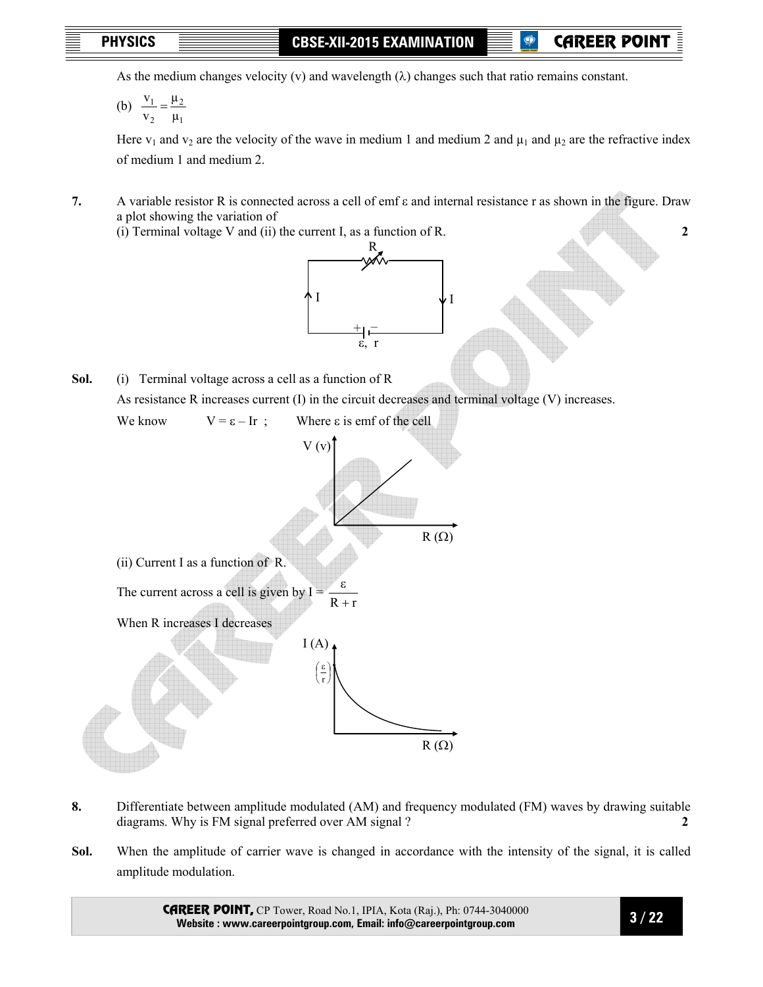**P** CAREER POIN

As the medium changes velocity (v) and wavelength  $(\lambda)$  changes such that ratio remains constant.

 (b) 1 2 2 1 µ µ v  $\frac{V_1}{V_2}$  =

> Here  $v_1$  and  $v_2$  are the velocity of the wave in medium 1 and medium 2 and  $\mu_1$  and  $\mu_2$  are the refractive index of medium 1 and medium 2.

**7.** A variable resistor R is connected across a cell of emf ε and internal resistance r as shown in the figure. Draw a plot showing the variation of

(i) Terminal voltage V and (ii) the current I, as a function of R. **2** 



As resistance R increases current (I) in the circuit decreases and terminal voltage (V) increases.



- **8.** Differentiate between amplitude modulated (AM) and frequency modulated (FM) waves by drawing suitable diagrams. Why is FM signal preferred over AM signal ? **2**
- **Sol.** When the amplitude of carrier wave is changed in accordance with the intensity of the signal, it is called amplitude modulation.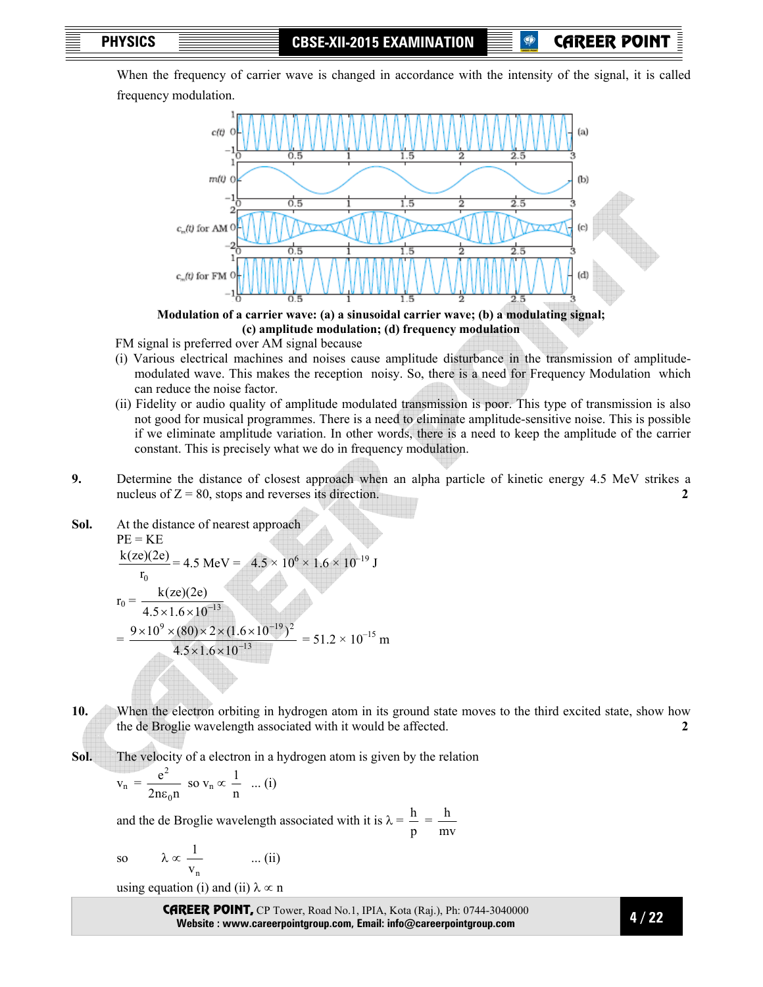When the frequency of carrier wave is changed in accordance with the intensity of the signal, it is called frequency modulation.



**Modulation of a carrier wave: (a) a sinusoidal carrier wave; (b) a modulating signal; (c) amplitude modulation; (d) frequency modulation** 

FM signal is preferred over AM signal because

- (i) Various electrical machines and noises cause amplitude disturbance in the transmission of amplitudemodulated wave. This makes the reception noisy. So, there is a need for Frequency Modulation which can reduce the noise factor.
- (ii) Fidelity or audio quality of amplitude modulated transmission is poor. This type of transmission is also not good for musical programmes. There is a need to eliminate amplitude-sensitive noise. This is possible if we eliminate amplitude variation. In other words, there is a need to keep the amplitude of the carrier constant. This is precisely what we do in frequency modulation.
- **9.** Determine the distance of closest approach when an alpha particle of kinetic energy 4.5 MeV strikes a nucleus of  $Z = 80$ , stops and reverses its direction. **2 2**
- **Sol.** At the distance of nearest approach

PE = KE  
\n
$$
\frac{k(ze)(2e)}{r_0} = 4.5 \text{ MeV} = 4.5 \times 10^6 \times 1.6 \times 10^{-19} \text{ J}
$$
\n
$$
r_0 = \frac{k(ze)(2e)}{4.5 \times 1.6 \times 10^{-13}}
$$
\n
$$
= \frac{9 \times 10^9 \times (80) \times 2 \times (1.6 \times 10^{-19})^2}{4.5 \times 1.6 \times 10^{-13}} = 51.2 \times 10^{-15} \text{ m}
$$

**10.** When the electron orbiting in hydrogen atom in its ground state moves to the third excited state, show how the de Broglie wavelength associated with it would be affected. **2** 

**Sol.** The velocity of a electron in a hydrogen atom is given by the relation

$$
v_n = \frac{e^2}{2n\epsilon_0 n} \text{ so } v_n \propto \frac{1}{n} \dots (i)
$$

and the de Broglie wavelength associated with it is  $\lambda =$ p  $\frac{h}{-}$  = mv h

so 
$$
\lambda \propto \frac{1}{v_n}
$$
 ... (ii)

using equation (i) and (ii)  $\lambda \propto n$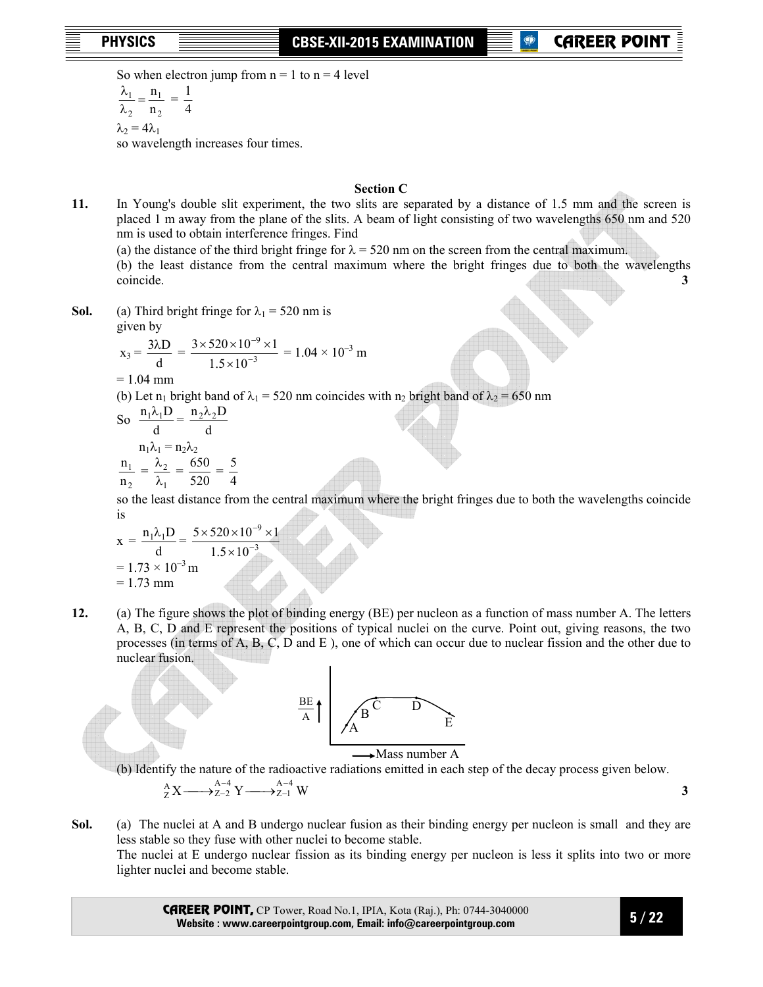**PHYSICS CBSE-XII-2015 EXAMINATION** 

So when electron jump from  $n = 1$  to  $n = 4$  level

2 1 2 1  $\frac{\lambda_1}{\lambda_2} = \frac{n_1}{n_2}$ 4 1

 $\lambda_2 = 4\lambda_1$ 

so wavelength increases four times.

## **Section C**

- **11.** In Young's double slit experiment, the two slits are separated by a distance of 1.5 mm and the screen is placed 1 m away from the plane of the slits. A beam of light consisting of two wavelengths 650 nm and 520 nm is used to obtain interference fringes. Find
	- (a) the distance of the third bright fringe for  $\lambda = 520$  nm on the screen from the central maximum.

 (b) the least distance from the central maximum where the bright fringes due to both the wavelengths coincide. **3**

**Sol.** (a) Third bright fringe for  $\lambda_1 = 520$  nm is given by

$$
x_3 = \frac{3\lambda D}{d} = \frac{3 \times 520 \times 10^{-9} \times 1}{1.5 \times 10^{-3}} = 1.04 \times 10^{-3} \text{ m}
$$

 $= 1.04$  mm

(b) Let n<sub>1</sub> bright band of  $\lambda_1 = 520$  nm coincides with n<sub>2</sub> bright band of  $\lambda_2 = 650$  nm

So 
$$
\frac{n_1 \lambda_1 D}{d} = \frac{n_2 \lambda_2 D}{d}
$$

$$
n_1 \lambda_1 = n_2 \lambda_2
$$

$$
\frac{n_1}{n_2} = \frac{\lambda_2}{\lambda_1} = \frac{650}{520} = \frac{5}{4}
$$

 so the least distance from the central maximum where the bright fringes due to both the wavelengths coincide is

$$
x = {n_1 \lambda_1 D \over d} = {5 \times 520 \times 10^{-9} \times 1 \over 1.5 \times 10^{-3}}
$$
  
= 1.73 × 10<sup>-3</sup> m  
= 1.73 mm

**12.** (a) The figure shows the plot of binding energy (BE) per nucleon as a function of mass number A. The letters A, B, C, D and E represent the positions of typical nuclei on the curve. Point out, giving reasons, the two processes (in terms of A, B, C, D and E ), one of which can occur due to nuclear fission and the other due to nuclear fusion.



(b) Identify the nature of the radioactive radiations emitted in each step of the decay process given below.

$$
{}_{Z}^{A}X \longrightarrow {}_{Z-2}^{A-4}Y \longrightarrow {}_{Z-1}^{A-4}W
$$

**Sol.** (a) The nuclei at A and B undergo nuclear fusion as their binding energy per nucleon is small and they are less stable so they fuse with other nuclei to become stable. The nuclei at E undergo nuclear fission as its binding energy per nucleon is less it splits into two or more lighter nuclei and become stable.

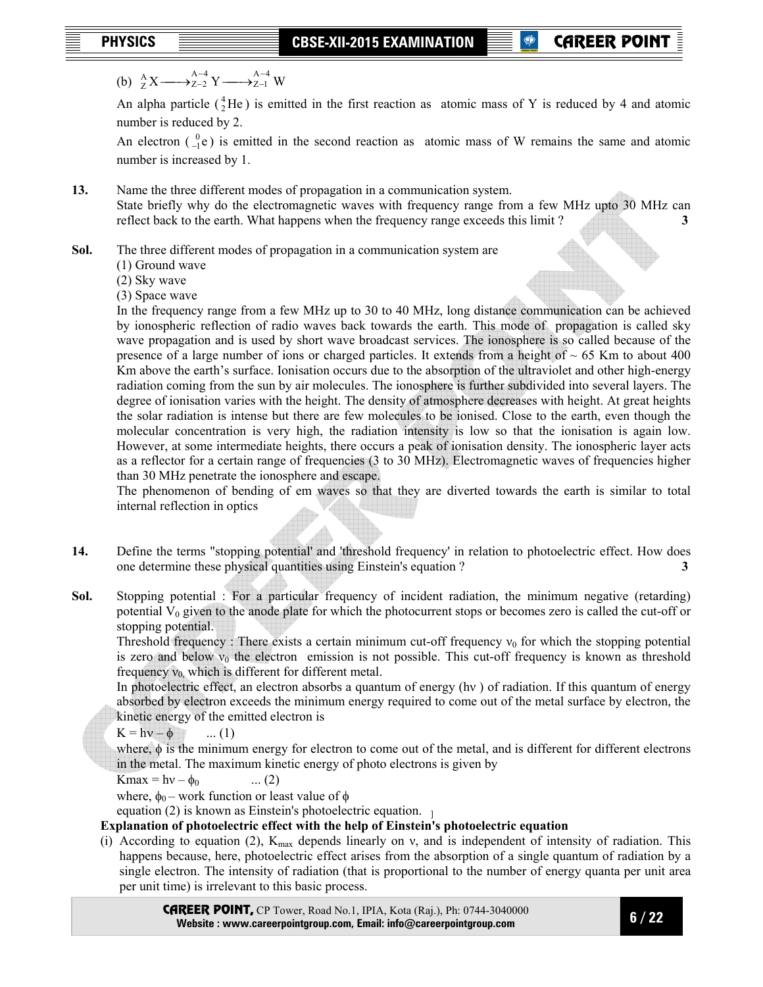(b)  ${}_{Z}^{A}X \longrightarrow {}_{Z-2}^{A-4}Y \longrightarrow {}_{Z-1}^{A-4}W$  $Z-1$  $A - 4$  ${}_{Z}^{A}X \longrightarrow {}_{Z-2}^{A-4}$ − −  $\longrightarrow_{Z-2}^{A-4} Y \longrightarrow$ 

An alpha particle  $({}^{4}_{2}He)$  is emitted in the first reaction as atomic mass of Y is reduced by 4 and atomic number is reduced by 2.

An electron  $\binom{0}{-1}e$  is emitted in the second reaction as atomic mass of W remains the same and atomic number is increased by 1.

**13.** Name the three different modes of propagation in a communication system. State briefly why do the electromagnetic waves with frequency range from a few MHz upto 30 MHz can reflect back to the earth. What happens when the frequency range exceeds this limit ? **3** 

**Sol.** The three different modes of propagation in a communication system are

- (1) Ground wave
- (2) Sky wave

(3) Space wave

In the frequency range from a few MHz up to 30 to 40 MHz, long distance communication can be achieved by ionospheric reflection of radio waves back towards the earth. This mode of propagation is called sky wave propagation and is used by short wave broadcast services. The ionosphere is so called because of the presence of a large number of ions or charged particles. It extends from a height of  $\sim 65$  Km to about 400 Km above the earth's surface. Ionisation occurs due to the absorption of the ultraviolet and other high-energy radiation coming from the sun by air molecules. The ionosphere is further subdivided into several layers. The degree of ionisation varies with the height. The density of atmosphere decreases with height. At great heights the solar radiation is intense but there are few molecules to be ionised. Close to the earth, even though the molecular concentration is very high, the radiation intensity is low so that the ionisation is again low. However, at some intermediate heights, there occurs a peak of ionisation density. The ionospheric layer acts as a reflector for a certain range of frequencies (3 to 30 MHz). Electromagnetic waves of frequencies higher than 30 MHz penetrate the ionosphere and escape.

The phenomenon of bending of em waves so that they are diverted towards the earth is similar to total internal reflection in optics

- **14.** Define the terms "stopping potential' and 'threshold frequency' in relation to photoelectric effect. How does one determine these physical quantities using Einstein's equation ? **3**
- **Sol.** Stopping potential : For a particular frequency of incident radiation, the minimum negative (retarding) potential  $V_0$  given to the anode plate for which the photocurrent stops or becomes zero is called the cut-off or stopping potential.

Threshold frequency : There exists a certain minimum cut-off frequency  $v_0$  for which the stopping potential is zero and below  $v_0$  the electron emission is not possible. This cut-off frequency is known as threshold frequency  $v_0$ , which is different for different metal.

 In photoelectric effect, an electron absorbs a quantum of energy (hν ) of radiation. If this quantum of energy absorbed by electron exceeds the minimum energy required to come out of the metal surface by electron, the kinetic energy of the emitted electron is

 $K = hv - \phi$  ... (1)

where, φ is the minimum energy for electron to come out of the metal, and is different for different electrons in the metal. The maximum kinetic energy of photo electrons is given by

 $K$ max = hv –  $\phi_0$  ... (2)

where,  $\phi_0$  – work function or least value of  $\phi$ 

equation (2) is known as Einstein's photoelectric equation.  $\frac{1}{1}$ 

## **Explanation of photoelectric effect with the help of Einstein's photoelectric equation**

(i) According to equation (2),  $K_{\text{max}}$  depends linearly on v, and is independent of intensity of radiation. This happens because, here, photoelectric effect arises from the absorption of a single quantum of radiation by a single electron. The intensity of radiation (that is proportional to the number of energy quanta per unit area per unit time) is irrelevant to this basic process.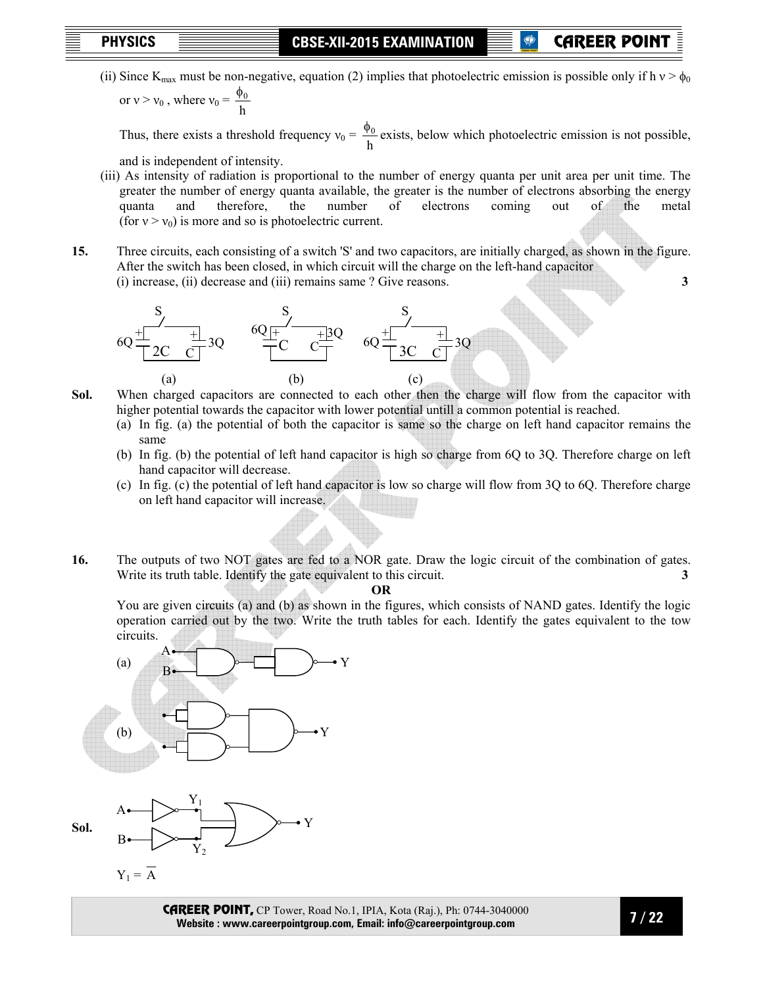## **P** CAREER POII

(ii) Since K<sub>max</sub> must be non-negative, equation (2) implies that photoelectric emission is possible only if h  $v > \phi_0$ 

or  $v > v_0$ , where  $v_0 = \frac{v_0}{h}$  $\phi_0$ 

Thus, there exists a threshold frequency  $v_0 = \frac{\phi}{h}$  $\frac{\phi_0}{\phi}$  exists, below which photoelectric emission is not possible,

and is independent of intensity.

- (iii) As intensity of radiation is proportional to the number of energy quanta per unit area per unit time. The greater the number of energy quanta available, the greater is the number of electrons absorbing the energy quanta and therefore, the number of electrons coming out of the metal (for  $v > v_0$ ) is more and so is photoelectric current.
- **15.** Three circuits, each consisting of a switch 'S' and two capacitors, are initially charged, as shown in the figure. After the switch has been closed, in which circuit will the charge on the left-hand capacitor (i) increase, (ii) decrease and (iii) remains same ? Give reasons. **3**



**Sol.** When charged capacitors are connected to each other then the charge will flow from the capacitor with higher potential towards the capacitor with lower potential untill a common potential is reached.

- (a) In fig. (a) the potential of both the capacitor is same so the charge on left hand capacitor remains the same
- (b) In fig. (b) the potential of left hand capacitor is high so charge from 6Q to 3Q. Therefore charge on left hand capacitor will decrease.
- (c) In fig. (c) the potential of left hand capacitor is low so charge will flow from 3Q to 6Q. Therefore charge on left hand capacitor will increase.
- **16.** The outputs of two NOT gates are fed to a NOR gate. Draw the logic circuit of the combination of gates. Write its truth table. Identify the gate equivalent to this circuit. **3 3**

**OR** 

You are given circuits (a) and (b) as shown in the figures, which consists of NAND gates. Identify the logic operation carried out by the two. Write the truth tables for each. Identify the gates equivalent to the tow circuits.



 $Y_2$ 

**Sol.**



B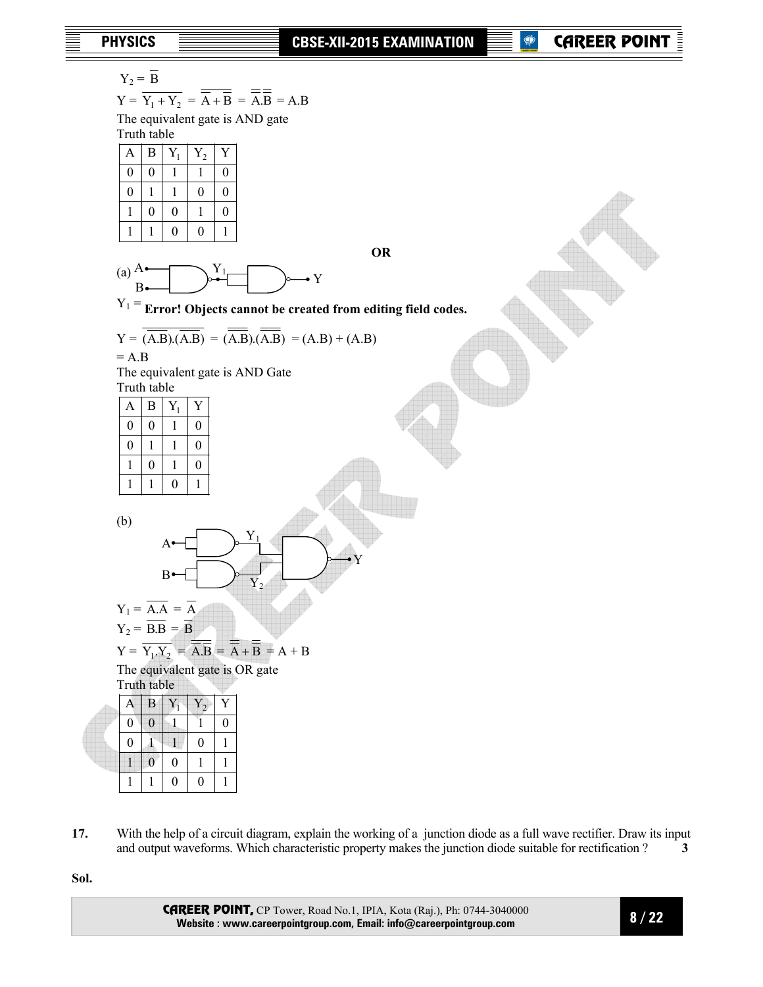$$
Y_2 = \overline{B}
$$

$$
Y = \overline{Y_1 + Y_2} = \overline{\overline{A} + \overline{B}} = \overline{\overline{A}} = \overline{A}.
$$

 The equivalent gate is AND gate Truth table

| $\mathbf{A}$     | B | $Y_1$            | $Y_2$          | Ý                |  |
|------------------|---|------------------|----------------|------------------|--|
| $\boldsymbol{0}$ | 0 |                  |                | 0                |  |
| $\boldsymbol{0}$ |   |                  | $\overline{0}$ | $\boldsymbol{0}$ |  |
|                  | 0 | $\boldsymbol{0}$ |                | $\boldsymbol{0}$ |  |
|                  |   | $\boldsymbol{0}$ | $\theta$       |                  |  |

**OR** 





$$
Y = \overline{(\overline{A.B})(\overline{A.B})} = (\overline{\overline{A.B}})(\overline{\overline{A.B}}) = (A.B) + (A.B)
$$
  
= A.B

 The equivalent gate is AND Gate Truth table

| A        | B | ${\bf Y}_1$ |   |
|----------|---|-------------|---|
| $\theta$ | 0 |             | 0 |
| $\theta$ |   |             | 0 |
|          | 0 |             | 0 |
|          |   | $\theta$    |   |

(b)





| I ruth table |   |   |   |   |  |
|--------------|---|---|---|---|--|
| $\forall$    | Β |   |   | Υ |  |
| U            | 0 |   |   | 0 |  |
| 0            |   |   | 0 |   |  |
|              | 0 | 0 |   |   |  |
|              |   | O | 0 |   |  |

**17.** With the help of a circuit diagram, explain the working of a junction diode as a full wave rectifier. Draw its input and output waveforms. Which characteristic property makes the junction diode suitable for rectification ? **3** 

**Sol.**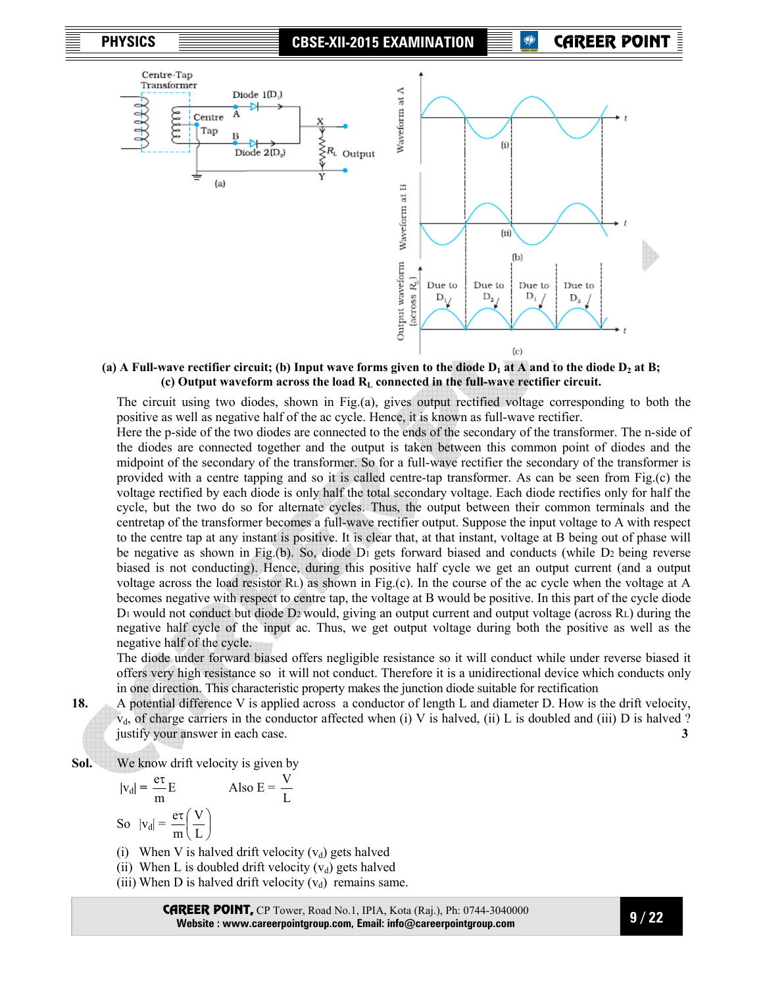

(a) A Full-wave rectifier circuit; (b) Input wave forms given to the diode  $D_1$  at A and to the diode  $D_2$  at B; **(c) Output waveform across the load RL connected in the full-wave rectifier circuit.** 

The circuit using two diodes, shown in Fig.(a), gives output rectified voltage corresponding to both the positive as well as negative half of the ac cycle. Hence, it is known as full-wave rectifier.

Here the p-side of the two diodes are connected to the ends of the secondary of the transformer. The n-side of the diodes are connected together and the output is taken between this common point of diodes and the midpoint of the secondary of the transformer. So for a full-wave rectifier the secondary of the transformer is provided with a centre tapping and so it is called centre-tap transformer. As can be seen from Fig.(c) the voltage rectified by each diode is only half the total secondary voltage. Each diode rectifies only for half the cycle, but the two do so for alternate cycles. Thus, the output between their common terminals and the centretap of the transformer becomes a full-wave rectifier output. Suppose the input voltage to A with respect to the centre tap at any instant is positive. It is clear that, at that instant, voltage at B being out of phase will be negative as shown in Fig.(b). So, diode D1 gets forward biased and conducts (while D2 being reverse biased is not conducting). Hence, during this positive half cycle we get an output current (and a output voltage across the load resistor RL) as shown in Fig.(c). In the course of the ac cycle when the voltage at A becomes negative with respect to centre tap, the voltage at B would be positive. In this part of the cycle diode D<sub>1</sub> would not conduct but diode D<sub>2</sub> would, giving an output current and output voltage (across R<sub>L</sub>) during the negative half cycle of the input ac. Thus, we get output voltage during both the positive as well as the negative half of the cycle.

 The diode under forward biased offers negligible resistance so it will conduct while under reverse biased it offers very high resistance so it will not conduct. Therefore it is a unidirectional device which conducts only in one direction. This characteristic property makes the junction diode suitable for rectification

**18.** A potential difference V is applied across a conductor of length L and diameter D. How is the drift velocity,  $v<sub>d</sub>$ , of charge carriers in the conductor affected when (i) V is halved, (ii) L is doubled and (iii) D is halved ? justify your answer in each case. **3** 

**Sol.** We know drift velocity is given by

$$
|v_d| = \frac{e\tau}{m}E
$$
 Also E =  
So 
$$
|v_d| = \frac{e\tau}{m} \left(\frac{V}{L}\right)
$$

- (i) When V is halved drift velocity  $(v_d)$  gets halved
- (ii) When L is doubled drift velocity  $(v_d)$  gets halved
- (iii) When D is halved drift velocity  $(v_d)$  remains same.

L V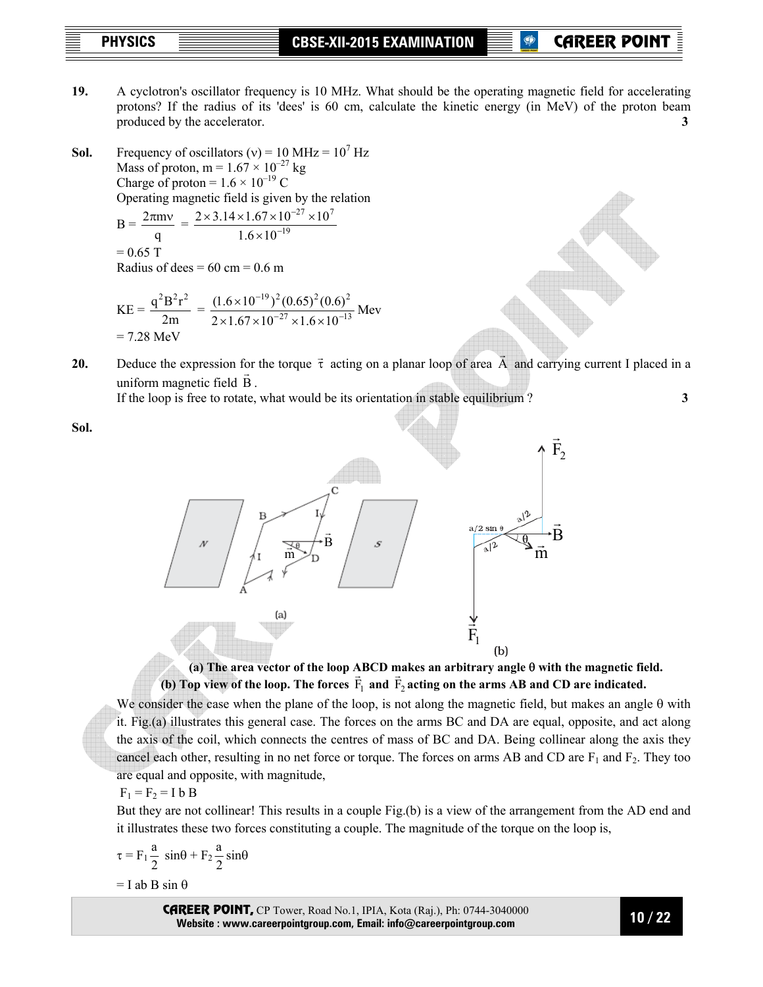**PHYSICS CBSE-XII-2015 EXAMINATION** 

**P** CAREER POIN

**19.** A cyclotron's oscillator frequency is 10 MHz. What should be the operating magnetic field for accelerating protons? If the radius of its 'dees' is 60 cm, calculate the kinetic energy (in MeV) of the proton beam produced by the accelerator. **3 3** 

**Sol.** Frequency of oscillators  $(v) = 10 \text{ MHz} = 10^7 \text{ Hz}$ Mass of proton, m =  $1.67 \times 10^{-27}$  kg Charge of proton =  $1.6 \times 10^{-19}$  C Operating magnetic field is given by the relation

$$
B = \frac{2\pi m v}{q} = \frac{2 \times 3.14 \times 1.67 \times 10^{-27} \times 10^{7}}{1.6 \times 10^{-19}}
$$
  
= 0.65 T  
Radius of dees = 60 cm = 0.6 m

$$
KE = \frac{q^2 B^2 r^2}{2m} = \frac{(1.6 \times 10^{-19})^2 (0.65)^2 (0.6)^2}{2 \times 1.67 \times 10^{-27} \times 1.6 \times 10^{-13}} \text{ MeV}
$$
  
= 7.28 MeV

**20.** Deduce the expression for the torque  $\vec{\tau}$  acting on a planar loop of area  $\vec{A}$  and carrying current I placed in a uniform magnetic field  $\vec{B}$ .

If the loop is free to rotate, what would be its orientation in stable equilibrium ? **3** 

**Sol.**



**(a) The area vector of the loop ABCD makes an arbitrary angle** θ **with the magnetic field.**  (a) The area vector of the loop. The  $\overline{F}_1$  and  $\overline{F}_2$  acting on the arms AB and CD are indicated.

We consider the case when the plane of the loop, is not along the magnetic field, but makes an angle  $\theta$  with it. Fig.(a) illustrates this general case. The forces on the arms BC and DA are equal, opposite, and act along the axis of the coil, which connects the centres of mass of BC and DA. Being collinear along the axis they cancel each other, resulting in no net force or torque. The forces on arms AB and CD are  $F_1$  and  $F_2$ . They too are equal and opposite, with magnitude,

 $F_1 = F_2 = I b B$ 

But they are not collinear! This results in a couple Fig.(b) is a view of the arrangement from the AD end and it illustrates these two forces constituting a couple. The magnitude of the torque on the loop is,

$$
\tau = F_1 \frac{a}{2} \sin\theta + F_2 \frac{a}{2} \sin\theta
$$

 $=$  I ab B sin  $\theta$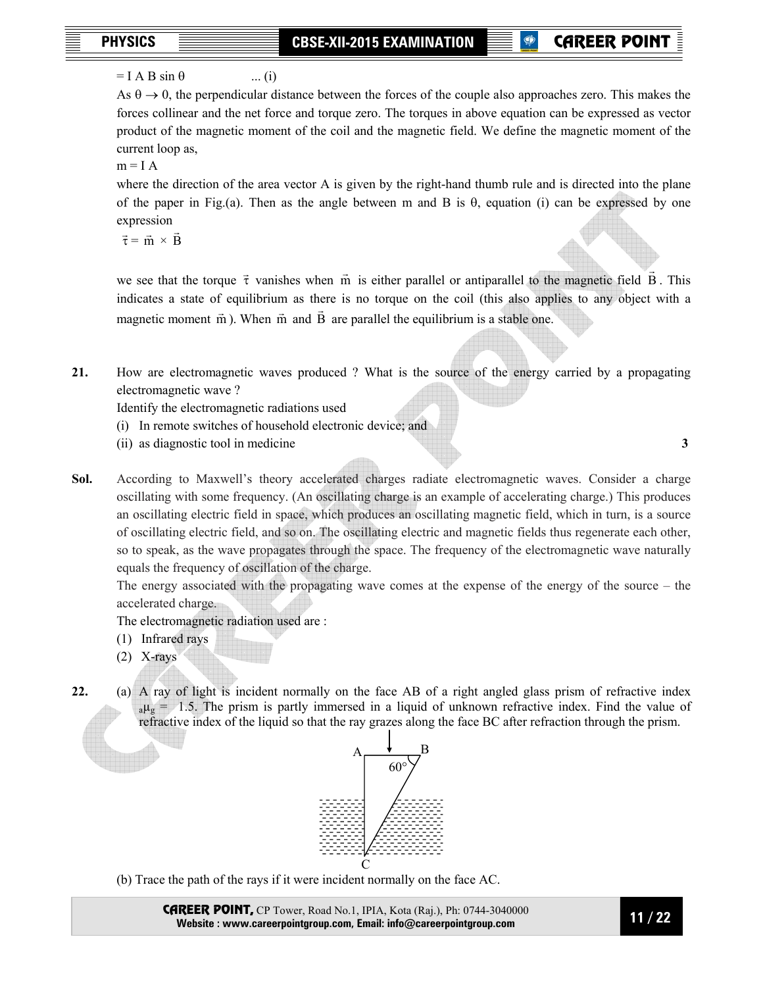## $=$  I A B sin  $\theta$  ... (i)

As  $\theta \to 0$ , the perpendicular distance between the forces of the couple also approaches zero. This makes the forces collinear and the net force and torque zero. The torques in above equation can be expressed as vector product of the magnetic moment of the coil and the magnetic field. We define the magnetic moment of the current loop as,

 $m = I A$ 

where the direction of the area vector A is given by the right-hand thumb rule and is directed into the plane of the paper in Fig.(a). Then as the angle between m and B is θ, equation (i) can be expressed by one expression

 $\vec{\tau} = \vec{m} \times \vec{B}$ 

we see that the torque  $\vec{\tau}$  vanishes when  $\vec{m}$  is either parallel or antiparallel to the magnetic field  $\vec{B}$ . This indicates a state of equilibrium as there is no torque on the coil (this also applies to any object with a magnetic moment  $\vec{m}$ ). When  $\vec{m}$  and  $\vec{B}$  are parallel the equilibrium is a stable one.

**21.** How are electromagnetic waves produced ? What is the source of the energy carried by a propagating electromagnetic wave ?

Identify the electromagnetic radiations used

- (i) In remote switches of household electronic device; and
- (ii) as diagnostic tool in medicine **3**

**Sol.** According to Maxwell's theory accelerated charges radiate electromagnetic waves. Consider a charge oscillating with some frequency. (An oscillating charge is an example of accelerating charge.) This produces an oscillating electric field in space, which produces an oscillating magnetic field, which in turn, is a source of oscillating electric field, and so on. The oscillating electric and magnetic fields thus regenerate each other, so to speak, as the wave propagates through the space. The frequency of the electromagnetic wave naturally equals the frequency of oscillation of the charge.

The energy associated with the propagating wave comes at the expense of the energy of the source – the accelerated charge.

The electromagnetic radiation used are :

- (1) Infrared rays
- (2) X-rays
- **22.** (a) A ray of light is incident normally on the face AB of a right angled glass prism of refractive index  $a\mu$ g = 1.5. The prism is partly immersed in a liquid of unknown refractive index. Find the value of refractive index of the liquid so that the ray grazes along the face BC after refraction through the prism.



(b) Trace the path of the rays if it were incident normally on the face AC.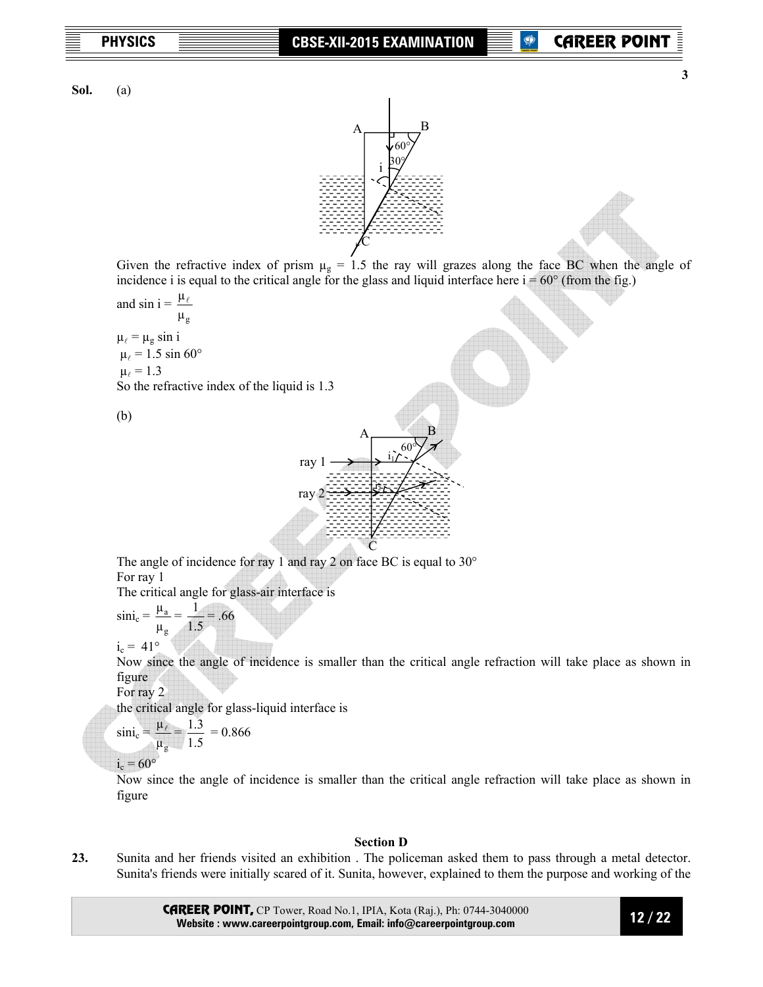**3** 

**Sol.** (a)



Given the refractive index of prism  $\mu$ <sup>g</sup> = 1.5 the ray will grazes along the face BC when the angle of incidence i is equal to the critical angle for the glass and liquid interface here  $i = 60^\circ$  (from the fig.)

and sin  $i = \frac{\mu_{\ell}}{k}$  $\mu_{\rm g}$  $\mu_{\ell} = \mu_{\ell} \sin i$  $\mu_{\ell} = 1.5 \sin 60^{\circ}$  $\mu_{\ell} = 1.3$ So the refractive index of the liquid is 1.3

(b)



The angle of incidence for ray 1 and ray 2 on face BC is equal to 30° For ray 1

The critical angle for glass-air interface is

 $\sin i_c =$ g a µ  $\frac{\mu_a}{\mu_a}$  = 1.5  $\frac{1}{2}$  = .66

 $i_c = 41^\circ$ 

 Now since the angle of incidence is smaller than the critical angle refraction will take place as shown in figure

For ray 2

the critical angle for glass-liquid interface is

$$
\sin i_c = \frac{\mu_\ell}{\mu_g} = \frac{1.3}{1.5} = 0.866
$$

 $i_c = 60^{\circ}$ 

 Now since the angle of incidence is smaller than the critical angle refraction will take place as shown in figure

### **Section D**

**23.** Sunita and her friends visited an exhibition . The policeman asked them to pass through a metal detector. Sunita's friends were initially scared of it. Sunita, however, explained to them the purpose and working of the

> CAREER POINT, CP Tower, Road No.1, IPIA, Kota (Raj.), Ph: 0744-3040000 **Website : www.careerpointgroup.com, Email: info@careerpointgroup.com**

 **12 / 22**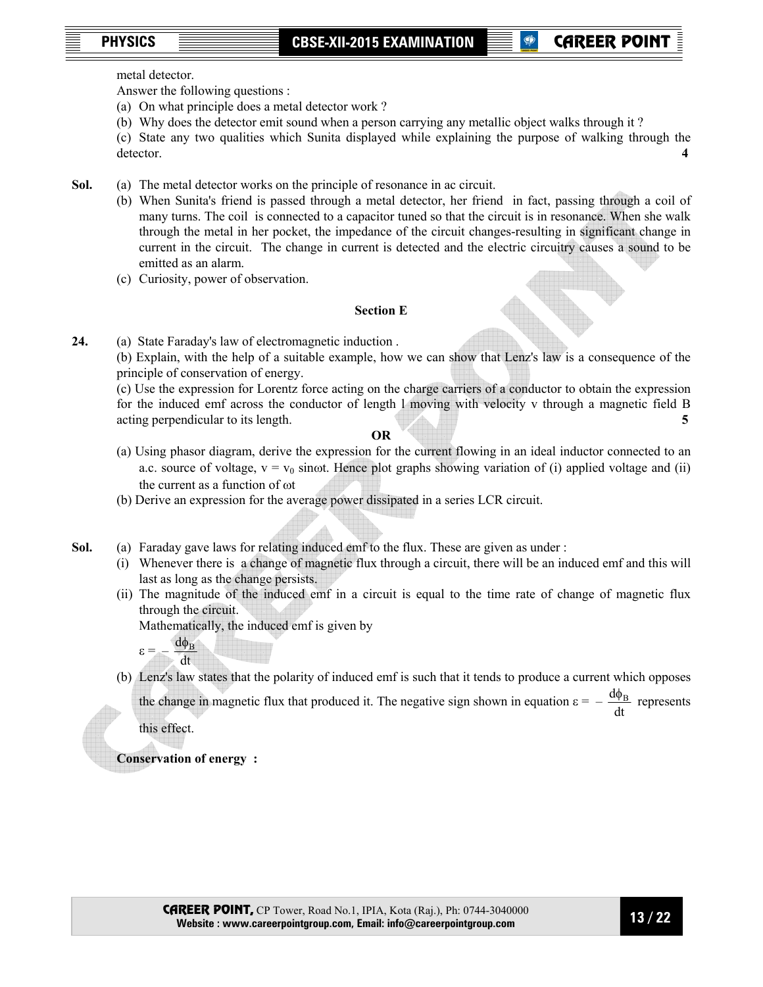metal detector.

Answer the following questions :

- (a) On what principle does a metal detector work ?
- (b) Why does the detector emit sound when a person carrying any metallic object walks through it ?
- (c) State any two qualities which Sunita displayed while explaining the purpose of walking through the detector. **4**
- **Sol.** (a) The metal detector works on the principle of resonance in ac circuit.
	- (b) When Sunita's friend is passed through a metal detector, her friend in fact, passing through a coil of many turns. The coil is connected to a capacitor tuned so that the circuit is in resonance. When she walk through the metal in her pocket, the impedance of the circuit changes-resulting in significant change in current in the circuit. The change in current is detected and the electric circuitry causes a sound to be emitted as an alarm.
	- (c) Curiosity, power of observation.

## **Section E**

**24.** (a) State Faraday's law of electromagnetic induction .

 (b) Explain, with the help of a suitable example, how we can show that Lenz's law is a consequence of the principle of conservation of energy.

 (c) Use the expression for Lorentz force acting on the charge carriers of a conductor to obtain the expression for the induced emf across the conductor of length l moving with velocity v through a magnetic field B acting perpendicular to its length. **5** 

**OR** 

- (a) Using phasor diagram, derive the expression for the current flowing in an ideal inductor connected to an a.c. source of voltage,  $v = v_0$  sinot. Hence plot graphs showing variation of (i) applied voltage and (ii) the current as a function of ωt
- (b) Derive an expression for the average power dissipated in a series LCR circuit.
- **Sol.** (a) Faraday gave laws for relating induced emf to the flux. These are given as under :
	- (i) Whenever there is a change of magnetic flux through a circuit, there will be an induced emf and this will last as long as the change persists.
	- (ii) The magnitude of the induced emf in a circuit is equal to the time rate of change of magnetic flux through the circuit.

Mathematically, the induced emf is given by

- $\varepsilon = \frac{d \phi_B}{dt}$ dt
	- (b) Lenz's law states that the polarity of induced emf is such that it tends to produce a current which opposes

the change in magnetic flux that produced it. The negative sign shown in equation  $\varepsilon =$ dt  $\frac{d\phi_B}{dt}$  represents

this effect.

**Conservation of energy :**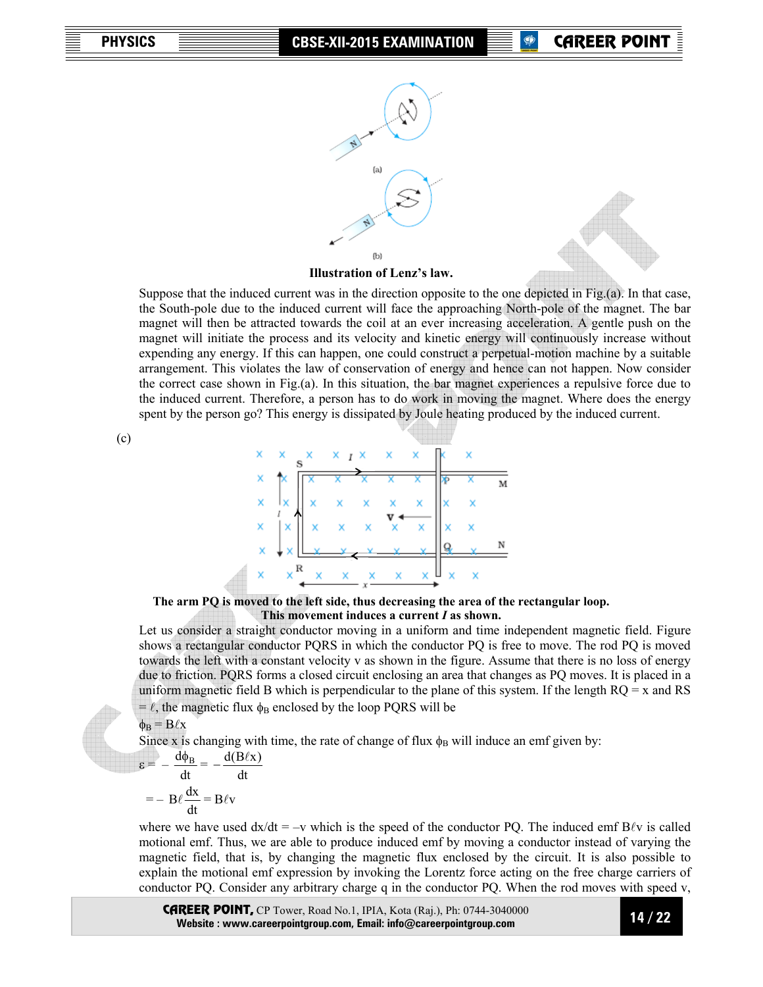

**Illustration of Lenz's law.** 

 Suppose that the induced current was in the direction opposite to the one depicted in Fig.(a). In that case, the South-pole due to the induced current will face the approaching North-pole of the magnet. The bar magnet will then be attracted towards the coil at an ever increasing acceleration. A gentle push on the magnet will initiate the process and its velocity and kinetic energy will continuously increase without expending any energy. If this can happen, one could construct a perpetual-motion machine by a suitable arrangement. This violates the law of conservation of energy and hence can not happen. Now consider the correct case shown in Fig.(a). In this situation, the bar magnet experiences a repulsive force due to the induced current. Therefore, a person has to do work in moving the magnet. Where does the energy spent by the person go? This energy is dissipated by Joule heating produced by the induced current.

### **The arm PQ is moved to the left side, thus decreasing the area of the rectangular loop. This movement induces a current** *I* **as shown.**

 Let us consider a straight conductor moving in a uniform and time independent magnetic field. Figure shows a rectangular conductor PQRS in which the conductor PQ is free to move. The rod PQ is moved towards the left with a constant velocity v as shown in the figure. Assume that there is no loss of energy due to friction. PQRS forms a closed circuit enclosing an area that changes as PQ moves. It is placed in a uniform magnetic field B which is perpendicular to the plane of this system. If the length  $RQ = x$  and RS =  $\ell$ , the magnetic flux  $\phi_B$  enclosed by the loop PQRS will be

$$
\phi_B = B\ell x
$$

Since x is changing with time, the rate of change of flux  $\phi_B$  will induce an emf given by:

$$
\varepsilon = -\frac{d\phi_B}{dt} = -\frac{d(B\ell x)}{dt}
$$

$$
= -B\ell \frac{dx}{dt} = B\ell v
$$

where we have used  $dx/dt = -v$  which is the speed of the conductor PQ. The induced emf B $\ell v$  is called motional emf. Thus, we are able to produce induced emf by moving a conductor instead of varying the magnetic field, that is, by changing the magnetic flux enclosed by the circuit. It is also possible to explain the motional emf expression by invoking the Lorentz force acting on the free charge carriers of conductor PQ. Consider any arbitrary charge q in the conductor PQ. When the rod moves with speed v,

CAREER POINT, CP Tower, Road No.1, IPIA, Kota (Raj.), Ph: 0744-3040000 **Website : www.careerpointgroup.com, Email: info@careerpointgroup.com** 

 **14 / 22** 

(c)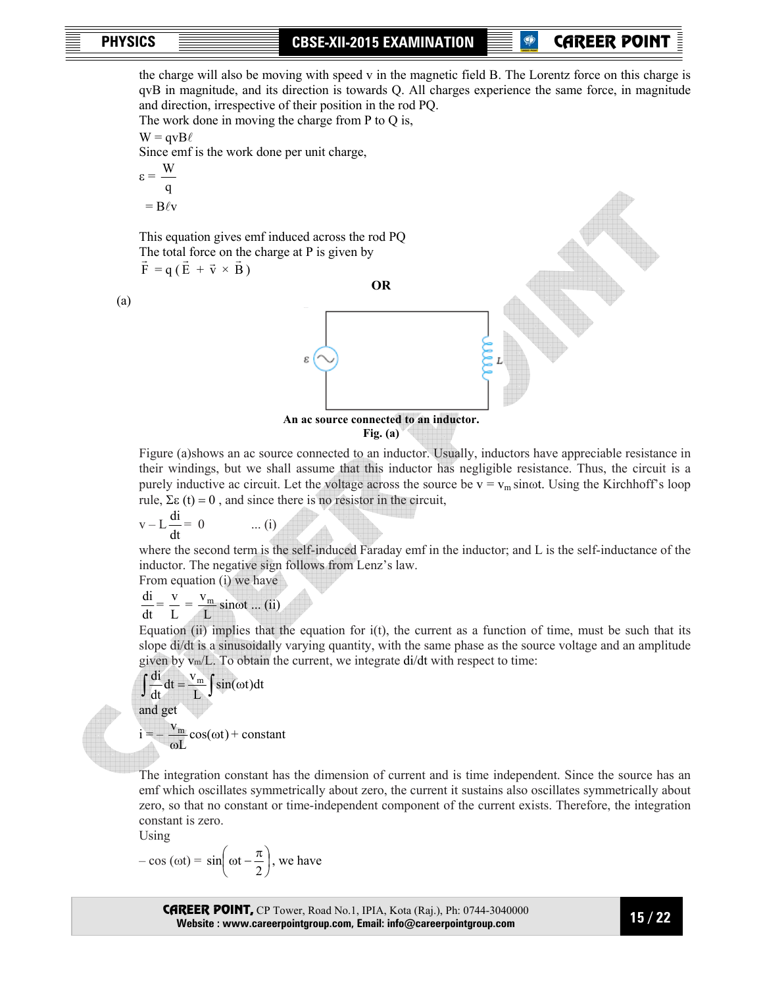(a)

**P** CAREER POIN

the charge will also be moving with speed v in the magnetic field B. The Lorentz force on this charge is qvB in magnitude, and its direction is towards Q. All charges experience the same force, in magnitude

and direction, irrespective of their position in the rod PQ. The work done in moving the charge from P to Q is,  $W = qvB\ell$  Since emf is the work done per unit charge, W ε = q  $=$  B $\ell v$  This equation gives emf induced across the rod PQ The total force on the charge at P is given by  $\vec{F} = q (\vec{E} + \vec{v} \times \vec{B})$ **OR**  ε **An ac source connected to an inductor.** 

$$
Fig. (a)
$$

 Figure (a)shows an ac source connected to an inductor. Usually, inductors have appreciable resistance in their windings, but we shall assume that this inductor has negligible resistance. Thus, the circuit is a purely inductive ac circuit. Let the voltage across the source be  $v = v_m \sin \omega t$ . Using the Kirchhoff's loop rule, Σε (t) = 0, and since there is no resistor in the circuit,

$$
v - L\frac{di}{dt} = 0 \qquad \dots (i)
$$

 where the second term is the self-induced Faraday emf in the inductor; and L is the self-inductance of the inductor. The negative sign follows from Lenz's law.

From equation (i) we have

$$
\frac{di}{dt} = \frac{v}{L} = \frac{v_m}{L} \sin \omega t \dots (ii)
$$

Equation (ii) implies that the equation for  $i(t)$ , the current as a function of time, must be such that its slope di/dt is a sinusoidally varying quantity, with the same phase as the source voltage and an amplitude given by vm/L. To obtain the current, we integrate di/dt with respect to time:

$$
\int \frac{di}{dt} dt = \frac{v_m}{L} \int \sin(\omega t) dt
$$
  
and get  

$$
i = -\frac{v_m}{\omega L} \cos(\omega t) + constant
$$

 The integration constant has the dimension of current and is time independent. Since the source has an emf which oscillates symmetrically about zero, the current it sustains also oscillates symmetrically about zero, so that no constant or time-independent component of the current exists. Therefore, the integration constant is zero.

Using

$$
-\cos(\omega t) = \sin\left(\omega t - \frac{\pi}{2}\right), \text{ we have}
$$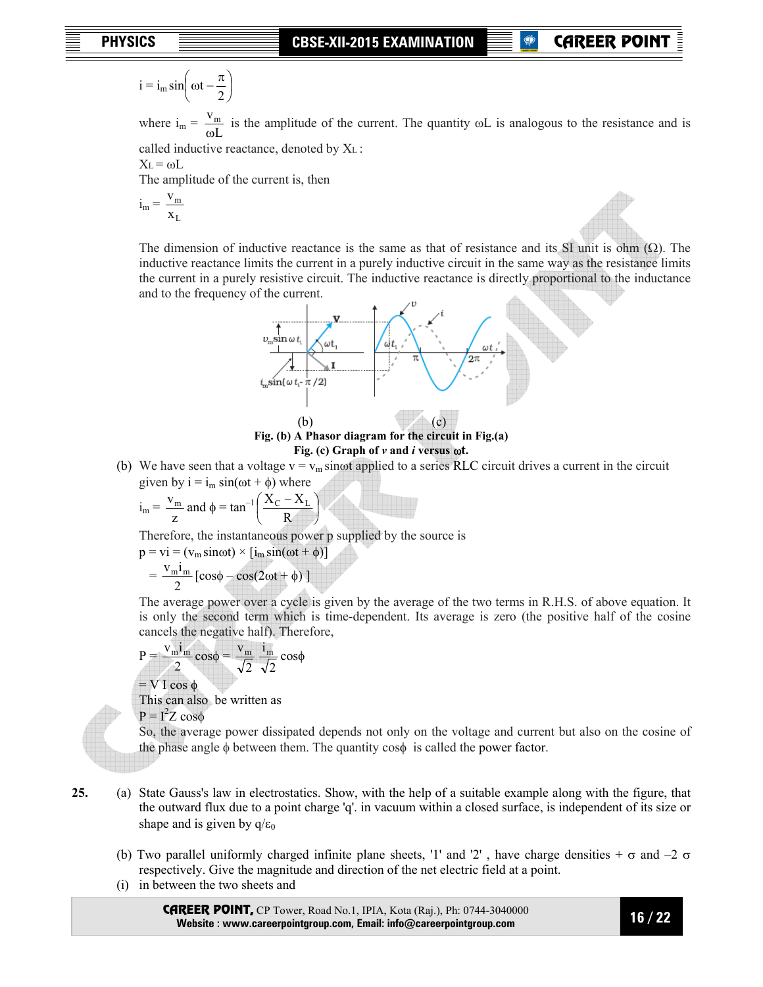$$
i = i_m \sin\left(\omega t - \frac{\pi}{2}\right)
$$

where  $i_m = \frac{v_m}{\omega L}$  $v_{m}$ ω is the amplitude of the current. The quantity ωL is analogous to the resistance and is

called inductive reactance, denoted by XL :

$$
X_L\!=\omega L
$$

The amplitude of the current is, then

$$
i_m = \frac{v_m}{x_L}
$$

The dimension of inductive reactance is the same as that of resistance and its SI unit is ohm  $(\Omega)$ . The inductive reactance limits the current in a purely inductive circuit in the same way as the resistance limits the current in a purely resistive circuit. The inductive reactance is directly proportional to the inductance and to the frequency of the current.

**P** CAREER POIN



## **Fig. (b) A Phasor diagram for the circuit in Fig.(a) Fig. (c) Graph of** *v* **and** *i* **versus** ω**t.**

(b) We have seen that a voltage  $v = v_m$  sinot applied to a series RLC circuit drives a current in the circuit given by  $i = i_m \sin(\omega t + \phi)$  where

$$
i_m = \frac{v_m}{z}
$$
 and  $\phi = \tan^{-1} \left( \frac{X_C - X_L}{R} \right)$ 

Therefore, the instantaneous power p supplied by the source is

$$
p = vi = (v_m \sin \omega t) \times [i_m \sin(\omega t + \phi)]
$$
  
=  $\frac{v_m i_m}{2} [\cos \phi - \cos(2\omega t + \phi)]$ 

 The average power over a cycle is given by the average of the two terms in R.H.S. of above equation. It is only the second term which is time-dependent. Its average is zero (the positive half of the cosine cancels the negative half). Therefore,

$$
P = \frac{v_{m}i_{m}}{2}\cos\phi = \frac{v_{m}}{\sqrt{2}}\frac{i_{m}}{\sqrt{2}}\cos\phi
$$

 $=$  V I cos  $\phi$ 

This can also be written as

 $P = I^2 Z \cos \phi$ 

 So, the average power dissipated depends not only on the voltage and current but also on the cosine of the phase angle φ between them. The quantity cosφ is called the power factor.

- **25.** (a) State Gauss's law in electrostatics. Show, with the help of a suitable example along with the figure, that the outward flux due to a point charge 'q'. in vacuum within a closed surface, is independent of its size or shape and is given by  $q/\varepsilon_0$ 
	- (b) Two parallel uniformly charged infinite plane sheets, '1' and '2', have charge densities  $+\sigma$  and  $-2\sigma$ respectively. Give the magnitude and direction of the net electric field at a point.
	- (i) in between the two sheets and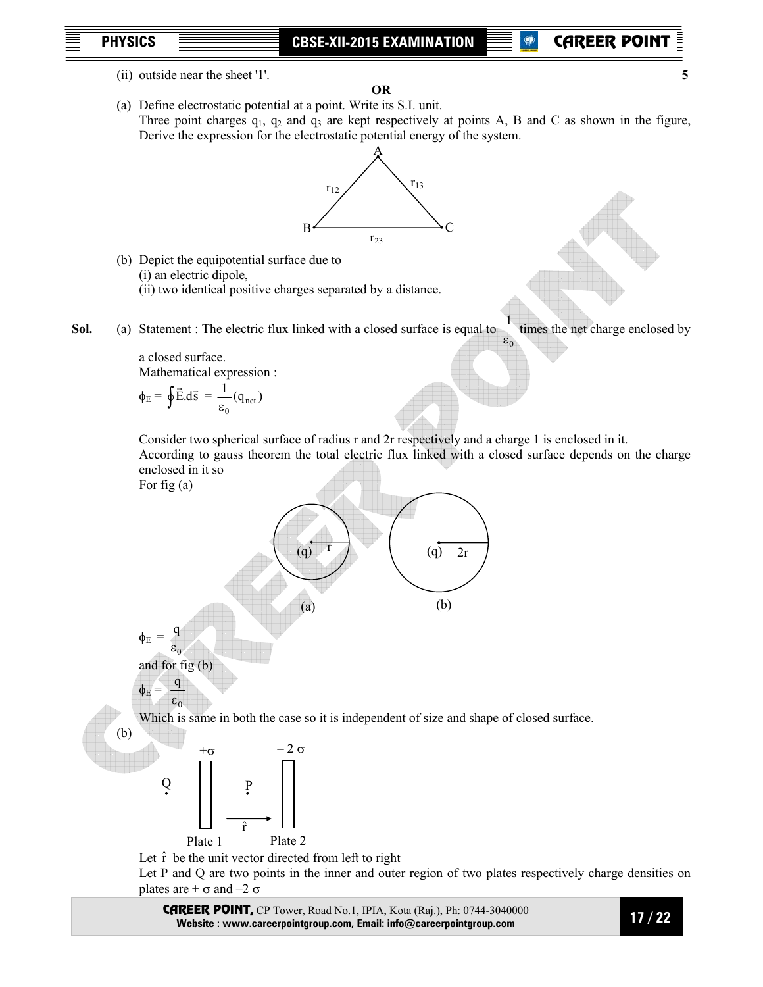(ii) outside near the sheet '1'. **5** 

**OR**  (a) Define electrostatic potential at a point. Write its S.I. unit. Three point charges  $q_1$ ,  $q_2$  and  $q_3$  are kept respectively at points A, B and C as shown in the figure,



- (b) Depict the equipotential surface due to (i) an electric dipole, (ii) two identical positive charges separated by a distance.
- **Sol.** (a) Statement : The electric flux linked with a closed surface is equal to  $\varepsilon_0$  $\frac{1}{1}$  times the net charge enclosed by

a closed surface. Mathematical expression :

$$
\phi_{\rm E} = \oint \vec{\rm E}.\mathrm{d}\vec{\rm s} = \frac{1}{\varepsilon_0}(\mathbf{q}_{\rm net})
$$

Consider two spherical surface of radius r and 2r respectively and a charge 1 is enclosed in it.

 According to gauss theorem the total electric flux linked with a closed surface depends on the charge enclosed in it so

For fig (a)

(b)





Let  $\hat{r}$  be the unit vector directed from left to right

Let P and Q are two points in the inner and outer region of two plates respectively charge densities on plates are  $+ \sigma$  and  $-2 \sigma$ 

CAREER POINT, CP Tower, Road No.1, IPIA, Kota (Raj.), Ph: 0744-3040000 **Website : www.careerpointgroup.com, Email: info@careerpointgroup.com** 

 **17 / 22**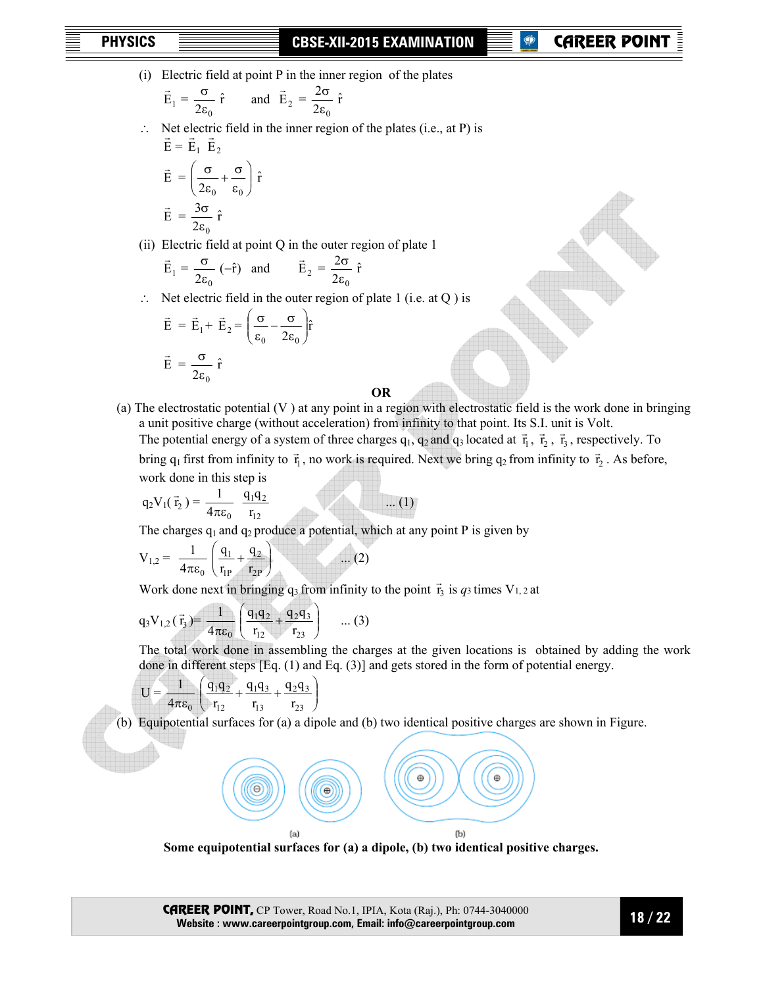(i) Electric field at point P in the inner region of the plates

$$
\vec{E}_1 = \frac{\sigma}{2\epsilon_0} \hat{r}
$$
 and  $\vec{E}_2 = \frac{2\sigma}{2\epsilon_0} \hat{r}$ 

 ∴ Net electric field in the inner region of the plates (i.e., at P) is  $\vec{E} = \vec{E}_1 \vec{E}_2$ 

$$
\vec{E} = \left(\frac{\sigma}{2\epsilon_0} + \frac{\sigma}{\epsilon_0}\right) \hat{r}
$$

$$
\vec{E} = \frac{3\sigma}{2\epsilon_0} \hat{r}
$$

(ii) Electric field at point Q in the outer region of plate 1

$$
\vec{E}_1 = \frac{\sigma}{2\epsilon_0} (-\hat{r})
$$
 and  $\vec{E}_2 = \frac{2\sigma}{2\epsilon_0} \hat{r}$ 

∴ Net electric field in the outer region of plate 1 (i.e. at Q ) is

$$
\vec{E} = \vec{E}_1 + \vec{E}_2 = \left(\frac{\sigma}{\epsilon_0} - \frac{\sigma}{2\epsilon_0}\right)\hat{r}
$$

$$
\vec{E} = \frac{\sigma}{2\epsilon_0}\hat{r}
$$

**OR** 

(a) The electrostatic potential (V ) at any point in a region with electrostatic field is the work done in bringing a unit positive charge (without acceleration) from infinity to that point. Its S.I. unit is Volt. The potential energy of a system of three charges  $q_1$ ,  $q_2$  and  $q_3$  located at  $\vec{r}_1$ ,  $\vec{r}_2$ ,  $\vec{r}_3$ , respectively. To

bring  $q_1$  first from infinity to  $\vec{r}_1$ , no work is required. Next we bring  $q_2$  from infinity to  $\vec{r}_2$ . As before, work done in this step is

$$
q_2 V_1(\vec{r}_2) = \frac{1}{4\pi\epsilon_0} \frac{q_1 q_2}{r_{12}} \qquad \qquad \dots (1)
$$

The charges  $q_1$  and  $q_2$  produce a potential, which at any point P is given by

$$
V_{1,2} = \frac{1}{4\pi\epsilon_0} \left( \frac{q_1}{r_{1P}} + \frac{q_2}{r_{2P}} \right) \qquad \dots (2)
$$

Work done next in bringing  $q_3$  from infinity to the point  $\vec{r}_3$  is  $q_3$  times V<sub>1, 2</sub> at

$$
q_3V_{1,2}(\vec{r}_3) = \frac{1}{4\pi\epsilon_0} \left( \frac{q_1q_2}{r_{12}} + \frac{q_2q_3}{r_{23}} \right) \dots (3)
$$

The total work done in assembling the charges at the given locations is obtained by adding the work done in different steps [Eq. (1) and Eq. (3)] and gets stored in the form of potential energy.

$$
U = \frac{1}{4\pi\epsilon_0} \left( \frac{q_1 q_2}{r_{12}} + \frac{q_1 q_3}{r_{13}} + \frac{q_2 q_3}{r_{23}} \right)
$$

(b) Equipotential surfaces for (a) a dipole and (b) two identical positive charges are shown in Figure.



**Some equipotential surfaces for (a) a dipole, (b) two identical positive charges.**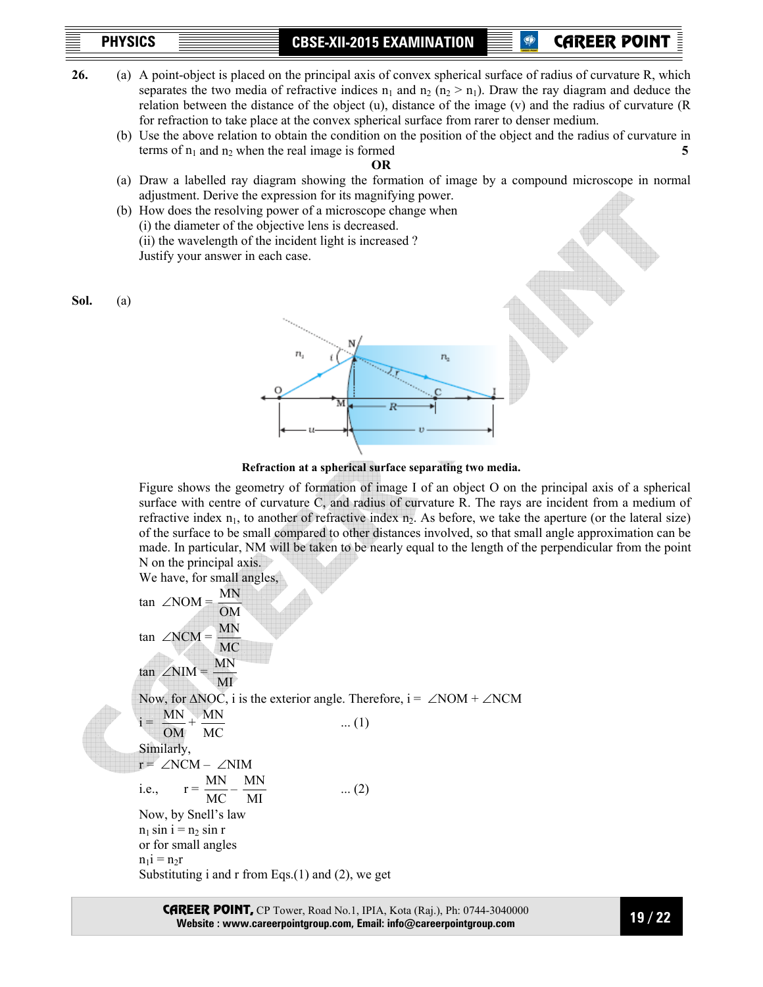**PHYSICS CBSE-XII-2015 EXAMINATION** 

**P** CAREER POINT

- **26.** (a) A point-object is placed on the principal axis of convex spherical surface of radius of curvature R, which separates the two media of refractive indices  $n_1$  and  $n_2$  ( $n_2 > n_1$ ). Draw the ray diagram and deduce the relation between the distance of the object (u), distance of the image (v) and the radius of curvature (R for refraction to take place at the convex spherical surface from rarer to denser medium.
	- (b) Use the above relation to obtain the condition on the position of the object and the radius of curvature in terms of  $n_1$  and  $n_2$  when the real image is formed **5**

**OR** 

- (a) Draw a labelled ray diagram showing the formation of image by a compound microscope in normal adjustment. Derive the expression for its magnifying power.
- (b) How does the resolving power of a microscope change when (i) the diameter of the objective lens is decreased. (ii) the wavelength of the incident light is increased ? Justify your answer in each case.

**Sol.** (a)



**Refraction at a spherical surface separating two media.** 

 Figure shows the geometry of formation of image I of an object O on the principal axis of a spherical surface with centre of curvature C, and radius of curvature R. The rays are incident from a medium of refractive index  $n_1$ , to another of refractive index  $n_2$ . As before, we take the aperture (or the lateral size) of the surface to be small compared to other distances involved, so that small angle approximation can be made. In particular, NM will be taken to be nearly equal to the length of the perpendicular from the point N on the principal axis.

We have, for small angles,

tan  $∠NOM =$ OM MN tan ∠NCM = MC MN  $tan \angle NIM =$ MI MN Now, for ΔNOC, i is the exterior angle. Therefore, i = ∠NOM + ∠NCM  $i =$ OM  $\frac{MN}{MN} + \frac{MN}{MN}$  ... (1) MC Similarly, r = ∠NCM – ∠NIM i.e.,  $r =$  $\frac{\text{MN}}{\text{MC}} - \frac{\text{MN}}{\text{MI}}$  $\frac{MN}{MI}$  ... (2) Now, by Snell's law  $n_1$  sin i =  $n_2$  sin r or for small angles  $n_1$ i =  $n_2$ r Substituting i and r from Eqs. $(1)$  and  $(2)$ , we get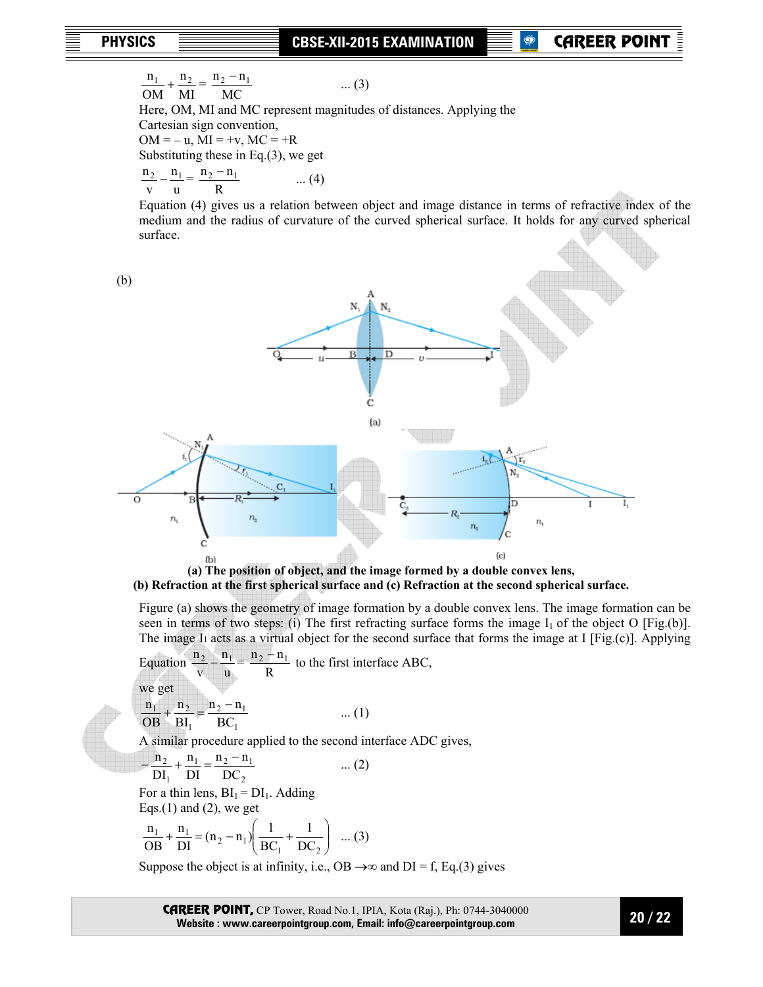MI n OM  $\frac{n_1}{n_2} + \frac{n_2}{n_2} =$ MC  $\frac{n_2 - n_1}{n_1 - n_2}$  ... (3) Here, OM, MI and MC represent magnitudes of distances. Applying the Cartesian sign convention,  $OM = -u$ ,  $MI = +v$ ,  $MC = +R$  Substituting these in Eq.(3), we get u n v  $\frac{n_2}{n_1} - \frac{n_1}{n_2} =$ R  $\frac{n_2 - n_1}{n_1}$  ... (4)

 Equation (4) gives us a relation between object and image distance in terms of refractive index of the medium and the radius of curvature of the curved spherical surface. It holds for any curved spherical surface.



**(b) Refraction at the first spherical surface and (c) Refraction at the second spherical surface.** 

 Figure (a) shows the geometry of image formation by a double convex lens. The image formation can be seen in terms of two steps: (i) The first refracting surface forms the image  $I_1$  of the object O [Fig.(b)]. The image I<sub>1</sub> acts as a virtual object for the second surface that forms the image at I [Fig.(c)]. Applying

Equation u n v  $\frac{n_2}{n_1} - \frac{n_1}{n_2} =$ R  $\frac{n_2 - n_1}{n_2}$  to the first interface ABC, we get 1  $2 - n_1$ 1  $1 + \frac{\text{II}}{\text{2}}$ BC  $n<sub>2</sub> - n$ BI n OB  $\frac{n_1}{n_1} + \frac{n_2}{n_2} = \frac{n_2 - n_1}{n_1}$  ... (1)

A similar procedure applied to the second interface ADC gives,

$$
-\frac{n_2}{DI_1} + \frac{n_1}{DI} = \frac{n_2 - n_1}{DC_2}
$$
 ... (2)

For a thin lens,  $BI_1 = DI_1$ . Adding Eqs.(1) and (2), we get

$$
\frac{n_1}{OB} + \frac{n_1}{DI} = (n_2 - n_1) \left( \frac{1}{BC_1} + \frac{1}{DC_2} \right) ... (3)
$$

Suppose the object is at infinity, i.e., OB  $\rightarrow \infty$  and DI = f, Eq.(3) gives

CAREER POINT, CP Tower, Road No.1, IPIA, Kota (Raj.), Ph: 0744-3040000 **Website : www.careerpointgroup.com, Email: info@careerpointgroup.com** 

 **20 / 22**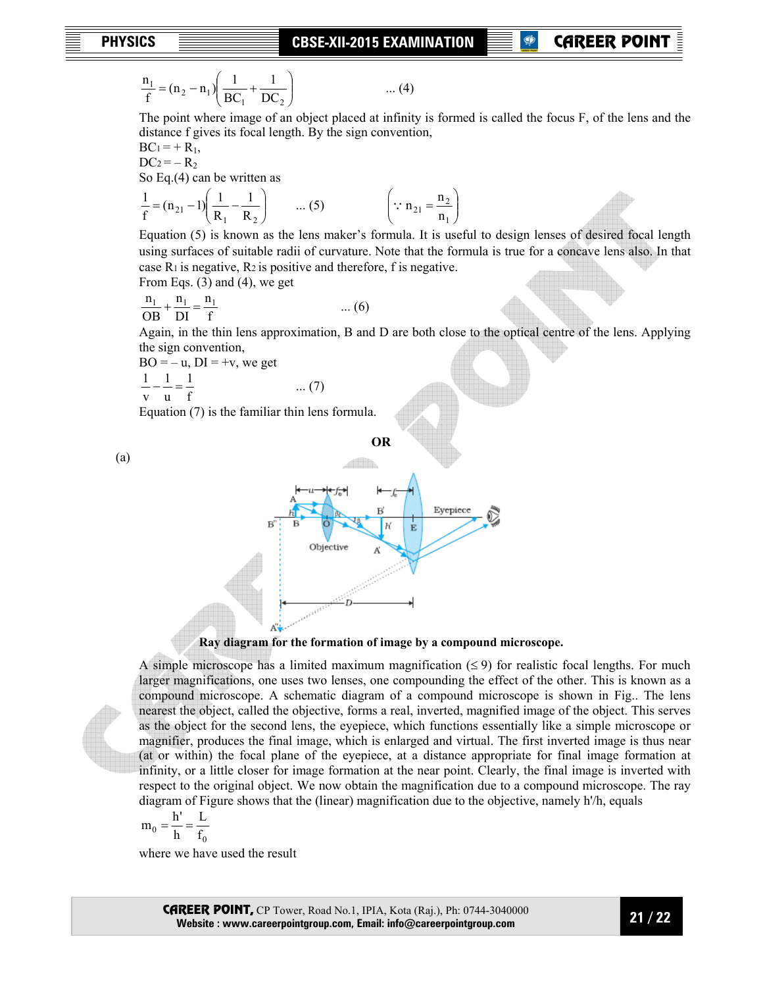## **P** CAREER POIN

$$
\frac{n_1}{f} = (n_2 - n_1) \left( \frac{1}{BC_1} + \frac{1}{DC_2} \right) \qquad \qquad \dots (4)
$$

The point where image of an object placed at infinity is formed is called the focus F, of the lens and the distance f gives its focal length. By the sign convention,

 $BC_1 = + R_1$ ,

 $DC_2 = -R_2$ So Eq.(4) can be written as

$$
\frac{1}{f} = (n_{21} - 1) \left( \frac{1}{R_1} - \frac{1}{R_2} \right) \qquad \dots (5) \qquad \left( \because n_{21} = \frac{n_2}{n_1} \right)
$$

 Equation (5) is known as the lens maker's formula. It is useful to design lenses of desired focal length using surfaces of suitable radii of curvature. Note that the formula is true for a concave lens also. In that case  $R_1$  is negative,  $R_2$  is positive and therefore, f is negative.

From Eqs. (3) and (4), we get

$$
\frac{n_1}{OB} + \frac{n_1}{DI} = \frac{n_1}{f}
$$
 ... (6)

Again, in the thin lens approximation, B and D are both close to the optical centre of the lens. Applying the sign convention,

 $BO = -u$ ,  $DI = +v$ , we get

$$
\frac{1}{v} - \frac{1}{u} = \frac{1}{f} \qquad \qquad \dots (7)
$$

Equation (7) is the familiar thin lens formula.



## **Ray diagram for the formation of image by a compound microscope.**

A simple microscope has a limited maximum magnification  $(\leq 9)$  for realistic focal lengths. For much larger magnifications, one uses two lenses, one compounding the effect of the other. This is known as a compound microscope. A schematic diagram of a compound microscope is shown in Fig.. The lens nearest the object, called the objective, forms a real, inverted, magnified image of the object. This serves as the object for the second lens, the eyepiece, which functions essentially like a simple microscope or magnifier, produces the final image, which is enlarged and virtual. The first inverted image is thus near (at or within) the focal plane of the eyepiece, at a distance appropriate for final image formation at infinity, or a little closer for image formation at the near point. Clearly, the final image is inverted with respect to the original object. We now obtain the magnification due to a compound microscope. The ray diagram of Figure shows that the (linear) magnification due to the objective, namely h'/h, equals

$$
m_0 = \frac{h'}{h} = \frac{L}{f_0}
$$

where we have used the result

CAREER POINT, CP Tower, Road No.1, IPIA, Kota (Raj.), Ph: 0744-3040000 **Website : www.careerpointgroup.com, Email: info@careerpointgroup.com** 

(a)